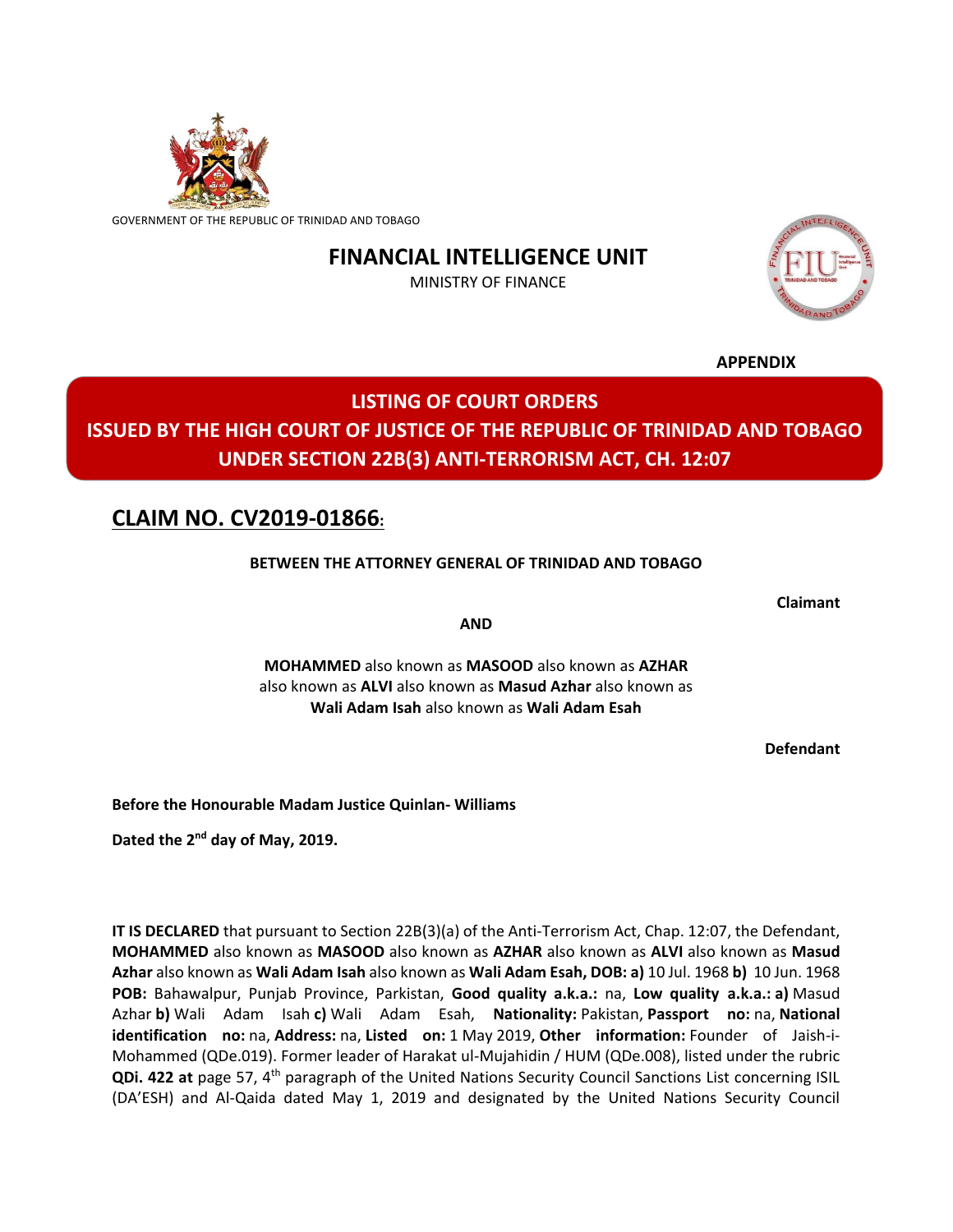

GOVERNMENT OF THE REPUBLIC OF TRINIDAD AND TOBAGO

## **FINANCIAL INTELLIGENCE UNIT**

MINISTRY OF FINANCE



**APPENDIX**

# **LISTING OF COURT ORDERS ISSUED BY THE HIGH COURT OF JUSTICE OF THE REPUBLIC OF TRINIDAD AND TOBAGO UNDER SECTION 22B(3) ANTI-TERRORISM ACT, CH. 12:07**

### **CLAIM NO. CV2019-01866:**

#### **BETWEEN THE ATTORNEY GENERAL OF TRINIDAD AND TOBAGO**

**Claimant**

**AND**

**MOHAMMED** also known as **MASOOD** also known as **AZHAR**  also known as **ALVI** also known as **Masud Azhar** also known as **Wali Adam Isah** also known as **Wali Adam Esah**

**Defendant**

**Before the Honourable Madam Justice Quinlan- Williams**

Dated the 2<sup>nd</sup> day of May, 2019.

**IT IS DECLARED** that pursuant to Section 22B(3)(a) of the Anti-Terrorism Act, Chap. 12:07, the Defendant, **MOHAMMED** also known as **MASOOD** also known as **AZHAR** also known as **ALVI** also known as **Masud Azhar** also known as **Wali Adam Isah** also known as **Wali Adam Esah, DOB: a)** 10 Jul. 1968 **b)** 10 Jun. 1968 **POB:** Bahawalpur, Punjab Province, Parkistan, **Good quality a.k.a.:** na, **Low quality a.k.a.: a)** Masud Azhar **b)** Wali Adam Isah **c)** Wali Adam Esah, **Nationality:** Pakistan, **Passport no:** na, **National identification no:** na, **Address:** na, **Listed on:** 1 May 2019, **Other information:** Founder of Jaish-i-Mohammed (QDe.019). Former leader of Harakat ul-Mujahidin / HUM (QDe.008), listed under the rubric **QDi. 422 at** page 57, 4<sup>th</sup> paragraph of the United Nations Security Council Sanctions List concerning ISIL (DA'ESH) and Al-Qaida dated May 1, 2019 and designated by the United Nations Security Council